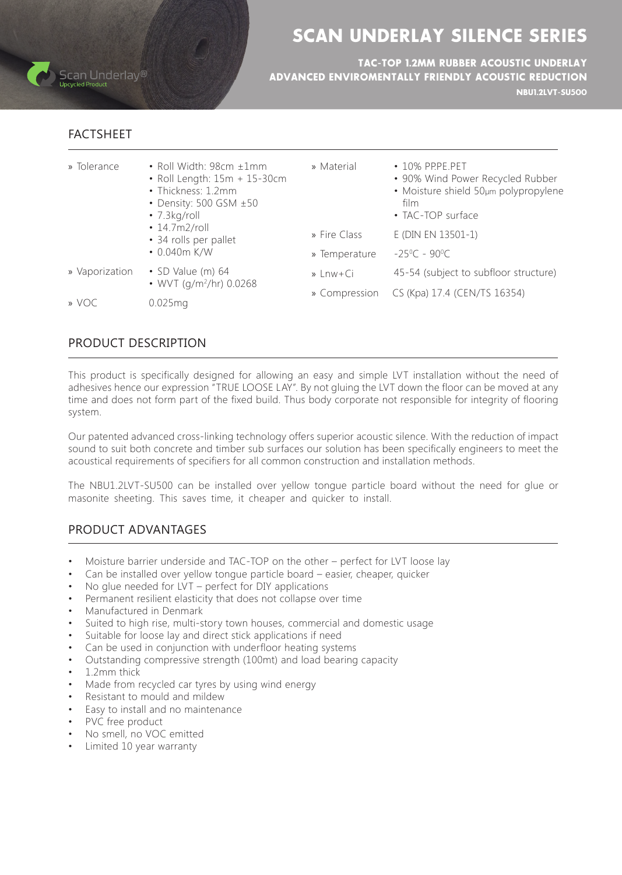

# SCAN UNDERLAY SILENCE SERIES

**NBU1.2LVT-SU500** TAC-TOP 1.2MM RUBBER ACOUSTIC UNDERLAY ADVANCED ENVIROMENTALLY FRIENDLY ACOUSTIC REDUCTION

### FACTSHEET

- » Tolerance Roll Width: 98cm ±1mm
	- $\cdot$  Roll Length:  $15m + 15 30cm$
	- Thickness: 1.2mm
	- $\cdot$  Density: 500 GSM  $\pm 50$
	- $\cdot$  7.3 $kg$ /roll
	- $\cdot$  14.7m2/roll
	- 34 rolls per pallet
	- $\cdot$  0.040 $m$  K/W
- 64 (m (Value SD Ci+Lnw » Vaporization» • WVT (g/m<sup>2</sup>/hr) 0.0268
- » Material 10% PP.PE.PET
	- 90% Wind Power Recycled Rubber
	- Moisture shield 50µm polypropylene film
	- TAC-TOP surface
- » Fire Class E (DIN EN 13501-1)
- » Temperature  $C - 90^{\circ}C$
- 45-54 (subject to subfloor structure)
- » Compression CS (Kpa) 17.4 (CEN/TS 16354)

» mg0.025 VOC»

### PRODUCT DESCRIPTION

This product is specifically designed for allowing an easy and simple LVT installation without the need of adhesives hence our expression "TRUE LOOSE LAY". By not gluing the LVT down the floor can be moved at any time and does not form part of the fixed build. Thus body corporate not responsible for integrity of flooring system.

Our patented advanced cross-linking technology offers superior acoustic silence. With the reduction of impact sound to suit both concrete and timber sub surfaces our solution has been specifically engineers to meet the acoustical requirements of specifiers for all common construction and installation methods.

The NBU1.2LVT-SU500 can be installed over yellow tongue particle board without the need for glue or masonite sheeting. This saves time, it cheaper and quicker to install.

## PRODUCT ADVANTAGES

- Moisture barrier underside and TAC-TOP on the other perfect for LVT loose lay
- Can be installed over yellow tongue particle board easier, cheaper, quicker
- No glue needed for LVT perfect for DIY applications
- Permanent resilient elasticity that does not collapse over time
- Manufactured in Denmark
- Suited to high rise, multi-story town houses, commercial and domestic usage
- Suitable for loose lay and direct stick applications if need
- Can be used in conjunction with underfloor heating systems
- Outstanding compressive strength (100mt) and load bearing capacity
- 1.2mm thick
- Made from recycled car tyres by using wind energy
- Resistant to mould and mildew
- Easy to install and no maintenance
- PVC free product
- No smell, no VOC emitted
- Limited 10 year warranty